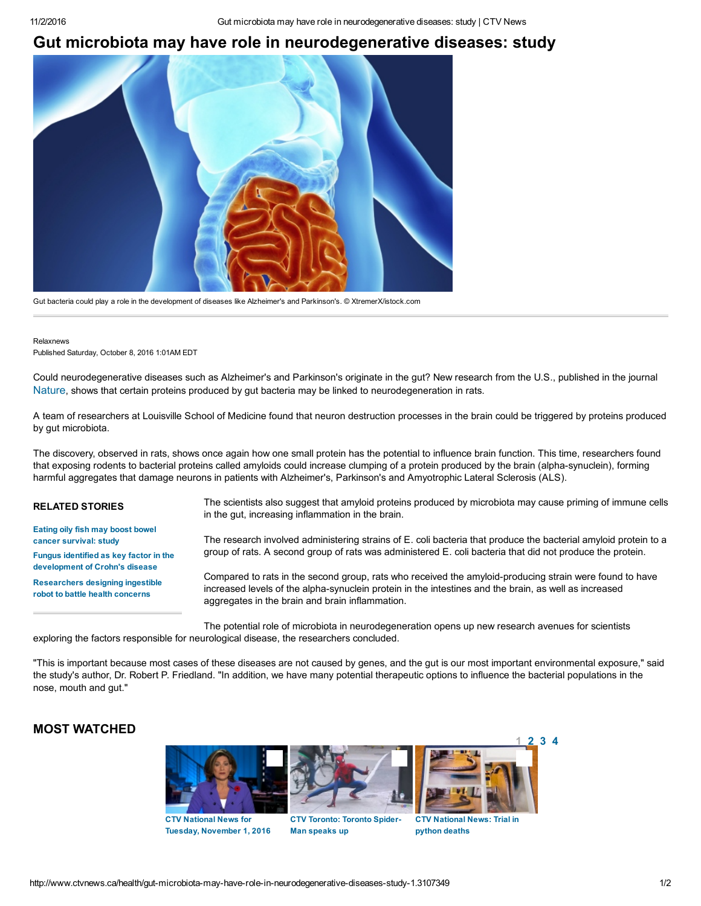## Gut microbiota may have role in neurodegenerative diseases: study



Gut bacteria could play a role in the development of diseases like Alzheimer's and Parkinson's. © XtremerX/istock.com

Relaxnews Published Saturday, October 8, 2016 1:01AM EDT

Could neurodegenerative diseases such as Alzheimer's and Parkinson's originate in the gut? New research from the U.S., published in the journal [Nature](http://www.nature.com/articles/srep34477), shows that certain proteins produced by gut bacteria may be linked to neurodegeneration in rats.

A team of researchers at Louisville School of Medicine found that neuron destruction processes in the brain could be triggered by proteins produced by gut microbiota.

The discovery, observed in rats, shows once again how one small protein has the potential to influence brain function. This time, researchers found that exposing rodents to bacterial proteins called amyloids could increase clumping of a protein produced by the brain (alpha-synuclein), forming harmful aggregates that damage neurons in patients with Alzheimer's, Parkinson's and Amyotrophic Lateral Sclerosis (ALS).

RELATED STORIES Eating oily fish may boost bowel cancer [survival:](http://www.ctvnews.ca/health/eating-oily-fish-may-boost-bowel-cancer-survival-study-1.2994172) study Fungus identified as key factor in the [development](http://www.ctvnews.ca/health/fungus-identified-as-key-factor-in-the-development-of-crohn-s-disease-1.3090210) of Crohn's disease [Researchers](http://www.ctvnews.ca/health/researchers-designing-ingestible-robot-to-battle-health-concerns-1.2992476) designing ingestible robot to battle health concerns The scientists also suggest that amyloid proteins produced by microbiota may cause priming of immune cells in the gut, increasing inflammation in the brain. The research involved administering strains of E. coli bacteria that produce the bacterial amyloid protein to a group of rats. A second group of rats was administered E. coli bacteria that did not produce the protein. Compared to rats in the second group, rats who received the amyloid-producing strain were found to have increased levels of the alpha-synuclein protein in the intestines and the brain, as well as increased aggregates in the brain and brain inflammation.

The potential role of microbiota in neurodegeneration opens up new research avenues for scientists exploring the factors responsible for neurological disease, the researchers concluded.

"This is important because most cases of these diseases are not caused by genes, and the gut is our most important environmental exposure," said the study's author, Dr. Robert P. Friedland. "In addition, we have many potential therapeutic options to influence the bacterial populations in the nose, mouth and gut."

## MOST WATCHED





CTV [National](http://www.ctvnews.ca/video?clipId=981284) News for Tuesday, [November](http://www.ctvnews.ca/video?clipId=981284) 1, 2016

CTV [Toronto:](http://www.ctvnews.ca/video?clipId=985150) Toronto Spider-Man speaks up



CTV [National](http://www.ctvnews.ca/video?clipId=985301) News: Trial in python deaths